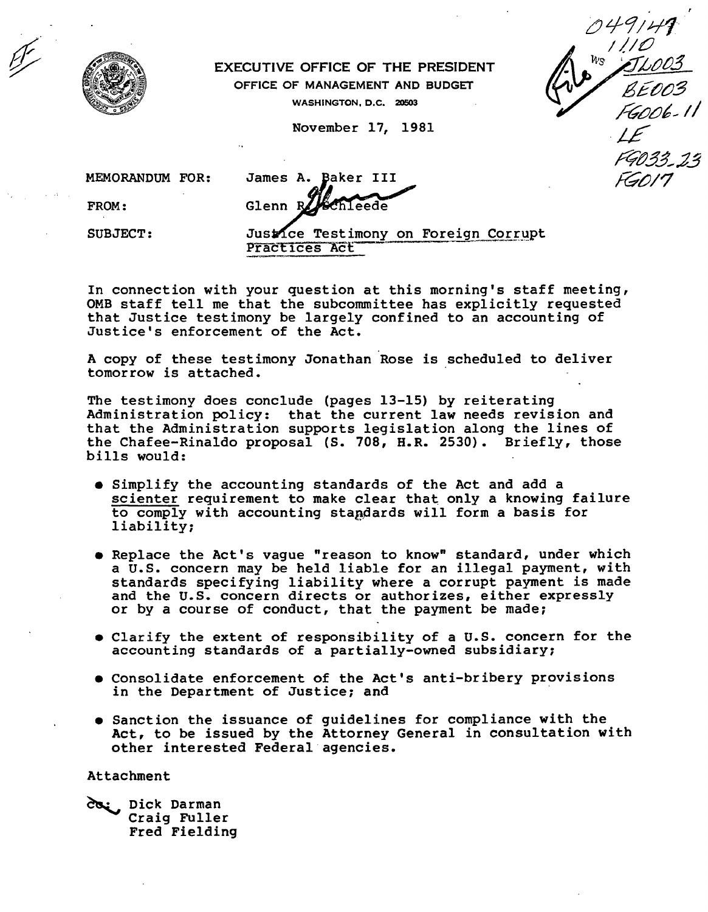

## EXECUTIVE OFFICE OF THE PRESIDENT

OFFICE OF MANAGEMENT AND BUDGET

WASHINGTON, D.C. 20503

November 17, 1981

049141  $W_S / I/C$ 

MEMORANDUM FOR: James A. Baker III

FROM:

Glenn F hleede

SUBJECT: Just Ce Testimony on Foreign Corrupt<br>Practices Act

In connection with your question at this morning's staff meeting, OMB staff tell me that the subcommittee has explicitly requested that Justice testimony be largely confined to an accounting of Justice's enforcement of the Act.

A copy of these testimony Jonathan Rose is scheduled to deliver tomorrow is attached.

The testimony does conclude (pages 13-15) by reiterating Administration policy: that the current law needs revision and that the Administration supports legislation along the lines of the Chafee-Rina1do proposal (S. 708, H.R. 2530). Briefly, those bills WOUld:

- Simplify the accounting standards of the Act and add a scienter requirement to make clear that only a knowing failure to comply with accounting standards will form a basis for liability;
- Replace the Act's vague "reason to know" standard, under which a U.S. concern may be held liable for an illegal payment, with standards specifying liability where a corrupt payment is made and the U.S. concern directs or authorizes, either expressly or by a course of conduct, that the payment be made;
- Clarify the extent of responsibility of a U.S. concern for the accounting standards of a partially-owned subsidiary;
- Consolidate enforcement of the Act's anti-bribery provisions in the Department of Justice; and .
- Sanction the issuance of guidelines for compliance with the Act, to be issued by the Attorney General in consultation with other interested Federal agencies.

Attachment

da: Dick Darman Craig Fuller Fred Fielding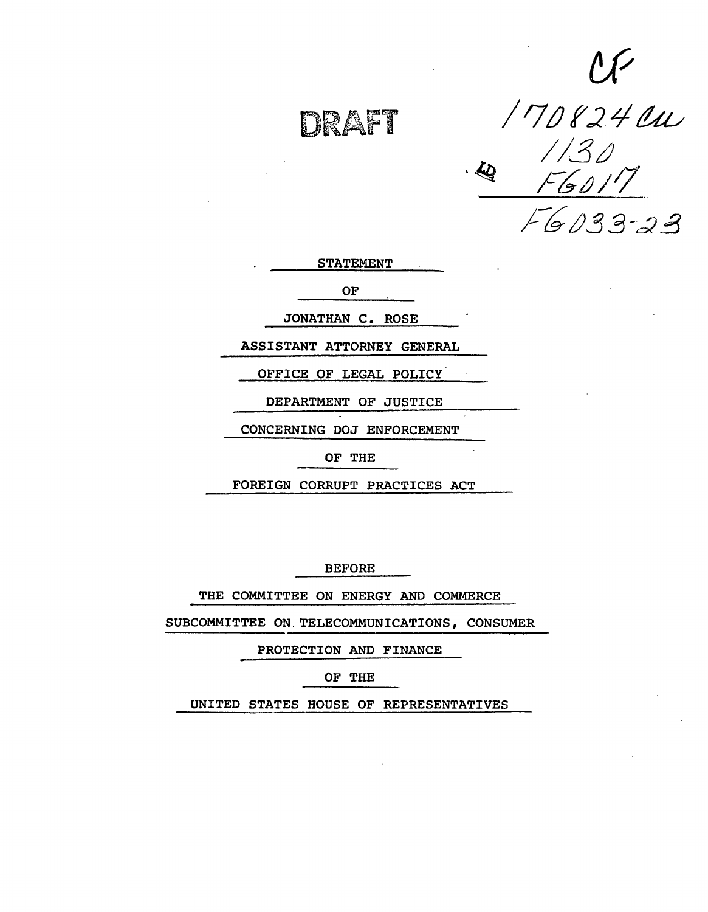DRAFT

 $\mathcal{U}^{\prime}$ */ r;* /) f :2 *L/* tZtu //30 /~&!J/IJ' /--~o33-d!3

STATEMENT

OF

JONATHAN C. ROSE

ASSISTANT ATTORNEY GENERAL

OFFICE OF LEGAL POLICY

DEPARTMENT OF JUSTICE

CONCERNING DOJ ENFORCEMENT

OF THE

FOREIGN CORRUPT PRACTICES ACT

BEFORE

THE COMMITTEE ON ENERGY AND COMMERCE

SUBCOMMITTEE ON. TELECOMMUNICATIONS, CONSUMER

PROTECTION AND FINANCE

OF THE

UNITED STATES HOUSE OF REPRESENTATIVES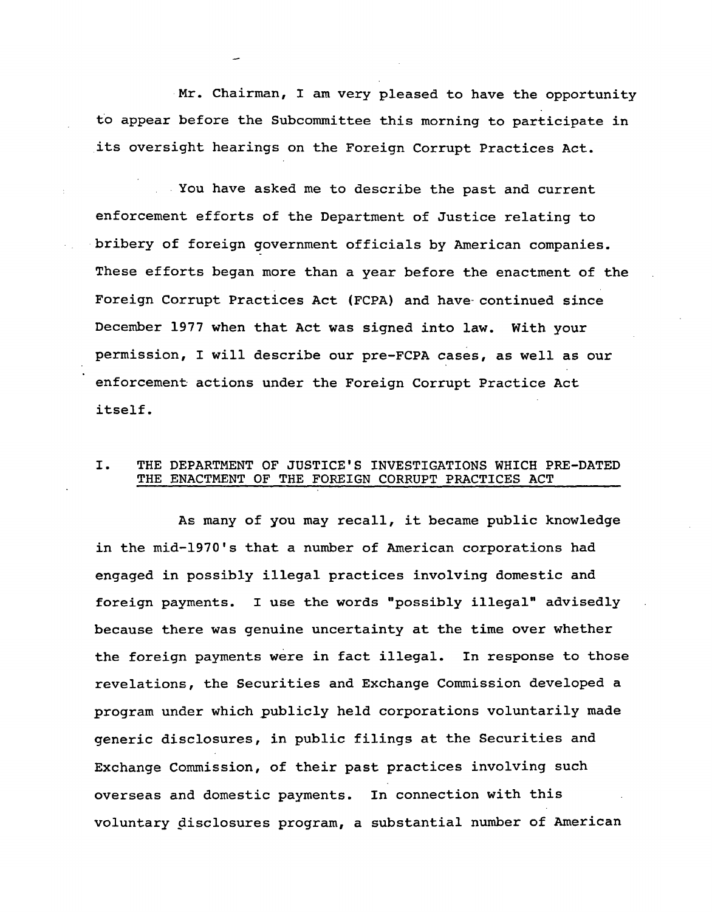Mr. Chairman, I am very pleased to have the opportunity to appear before the Subcommittee this morning to participate in its oversight hearings on the Foreign Corrupt Practices Act.

You have asked me to describe the past and current enforcement efforts of the Department of Justice relating to bribery of foreign government officials by American companies. These efforts began more than a year before the enactment of the Foreign Corrupt Practices Act (FCPA) and have- continued since December 1977 when that Act was signed into law. With your permission, I will describe our pre-FCPA cases, as well as our enforcement actions under the Foreign Corrupt Practice Act itself.

## I. THE DEPARTMENT OF JUSTICE'S INVESTIGATIONS WHICH PRE-DATED THE ENACTMENT OF THE FOREIGN CORRUPT PRACTICES ACT

As many of you may recall, it became public knowledge in the mid-1970's that a number of American corporations had engaged in possibly illegal practices involving domestic and foreign payments. I use the words "possibly illegal" advisedly because there was genuine uncertainty at the time over whether the foreign payments were in fact illegal. In response to those revelations, the Securities and Exchange Commission developed a program under which publicly held corporations voluntarily made generic disclosures, in public filings at the Securities and Exchange Commission, of their past practices involving such overseas and domestic payments. In connection with this voluntary disclosures program, a substantial number of American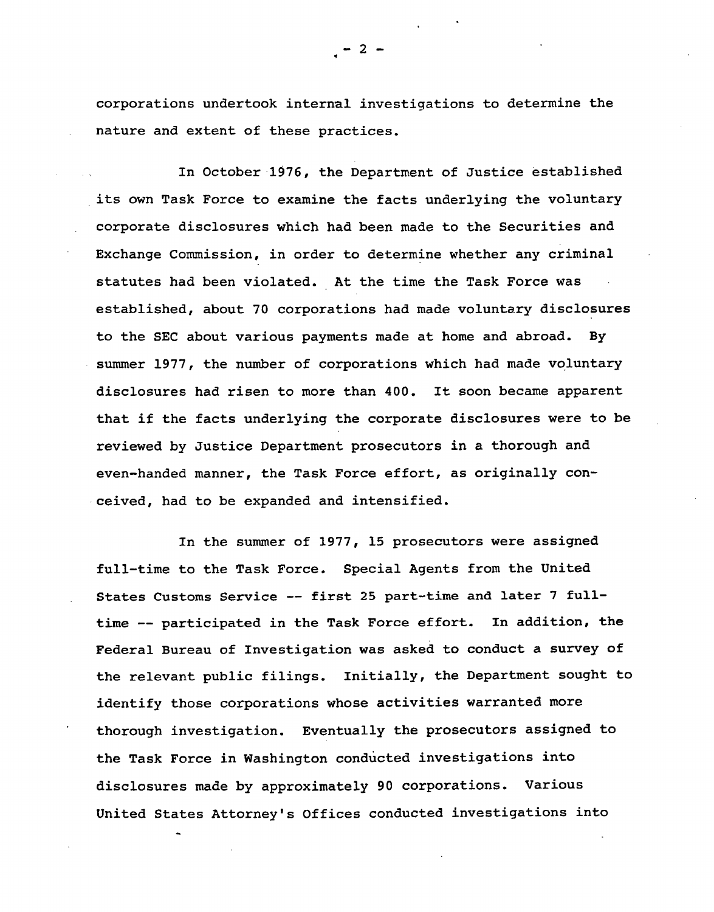corporations undertook internal investigations to determine the nature and extent of these practices.

In October 1976, the Department of Justice established its own Task Force to examine the facts underlying the voluntary corporate disclosures which had been made to the Securities and Exchange Commission, in order to determine whether any criminal statutes had been violated. At the time the Task Force was established, about 70 corporations had made voluntary disclosures to the SEC about various payments made at home and abroad. By summer 1977, the number of corporations which had made voluntary disclosures had risen to more than 400. It soon became apparent that if the facts underlying the corporate disclosures were to be reviewed by Justice Department prosecutors in a thorough and even-handed manner, the Task Force effort, as originally conceived, had to be expanded and intensified.

In the summer of 1977, 15 prosecutors were assigned full-time to the Task Force. Special Agents from the United States Customs Service -- first 2S part-time and later 7 fulltime -- participated in the Task Force effort. In addition, the Federal Bureau of Investigation was asked to conduct a survey of the relevant public filings. Initially, the Department sought to identify those corporations whose activities warranted more thorough investigation. Eventually the prosecutors assigned to the Task Force in Washington conducted investigations into disclosures made by approximately 90 corporations. Various United States Attorney's Offices conducted investigations into

 $-2$  -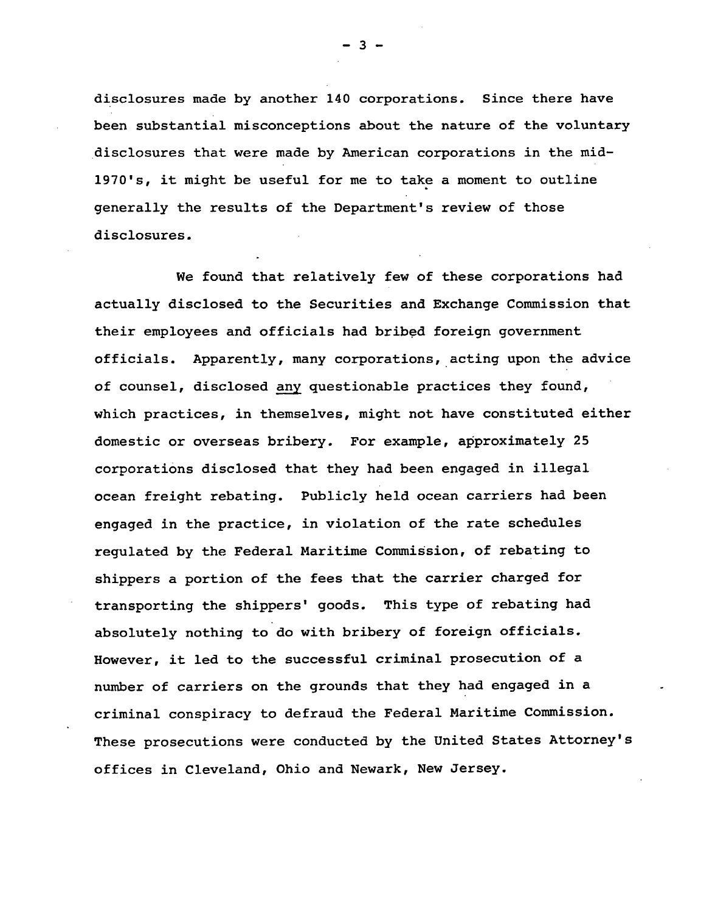disclosures made by another 140 corporations. Since there have been substantial misconceptions about the nature of the voluntary .disclosures that were made by American corporations in the mid-1970's, it might be useful for me to take a moment to outline generally the results of the Department's review of those disclosures.

We found that relatively few of these corporations had actually disclosed to the Securities and Exchange Commission that their employees and officials had bribed foreign government officials. Apparently, many corporations, acting upon the advice of counsel, disclosed any questionable practices they found, which practices, in themselves, might not have constituted either domestic or overseas bribery. For example, approximately 25 corporations disclosed that they had been engaged in illegal ocean freight rebating. Publicly held ocean carriers had been engaged in the practice, in violation of the rate schedules regulated by the Federal Maritime Commission, of rebating to shippers a portion of the fees that the carrier charged for transporting the shippers' goods. This type of rebating had absolutely nothing to do with bribery of foreign officials. However, it led to the successful criminal prosecution of a number of carriers on the grounds that they had engaged in a criminal conspiracy to defraud the Federal Maritime Commission. These prosecutions were conducted by the United States Attorney's offices in Cleveland, Ohio and Newark, New Jersey.

- 3 -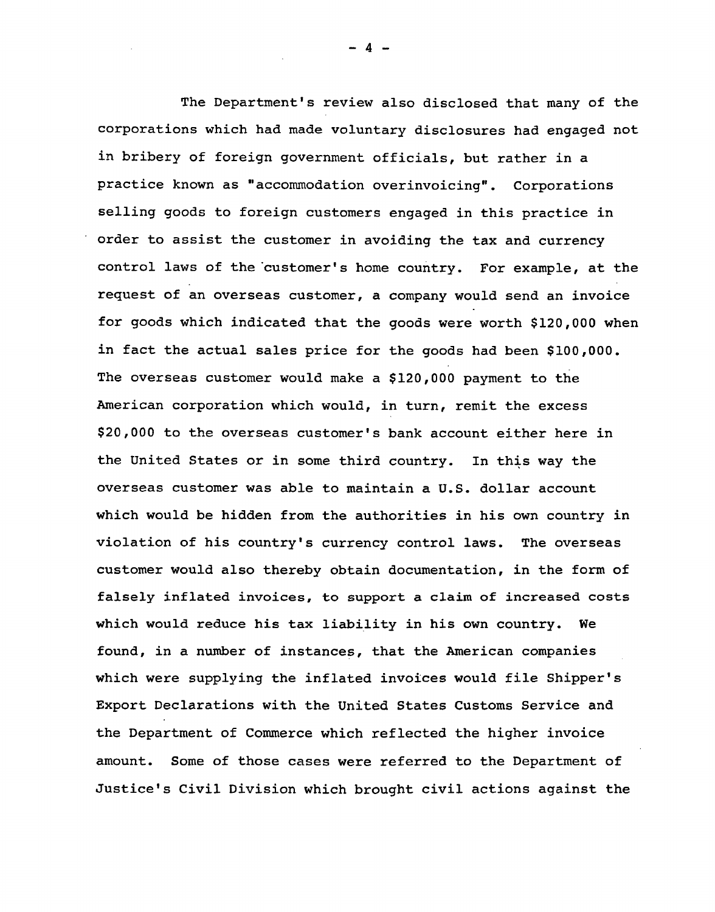The Department's review also disclosed that many of the corporations which had made voluntary disclosures had engaged not in bribery of foreign government officials, but rather in a practice known as "accommodation overinvoicing". Corporations selling goods to foreign customers engaged in this practice in order to assist the customer in avoiding the tax and currency control laws of the customer's home country. For example, at the request of an overseas customer, a company would send an invoice for goods which indicated that the goods were worth \$120,000 when in fact the actual sales price for the goods had been \$100,000. The overseas customer would make a \$120,000 payment to the American corporation which would, in turn, remit the excess \$20,000 to the overseas customer's bank account either here in the United States or in some third country. In this way the overseas customer was able to maintain a U.S. dollar account which would be hidden from the authorities in his own country in violation of his country's currency control laws. The overseas customer would also thereby obtain documentation, in the form of falsely inflated invoices, to support a claim of increased costs which would reduce his tax liability in his own country. We found, in a number of instances, that the American companies which were supplying the inflated invoices would file Shipper's Export Declarations with the United States Customs Service and the Department of Commerce which reflected the higher invoice amount. Some of those cases were referred to the Department of Justice's Civil Division which brought civil actions against the

 $\boldsymbol{4}$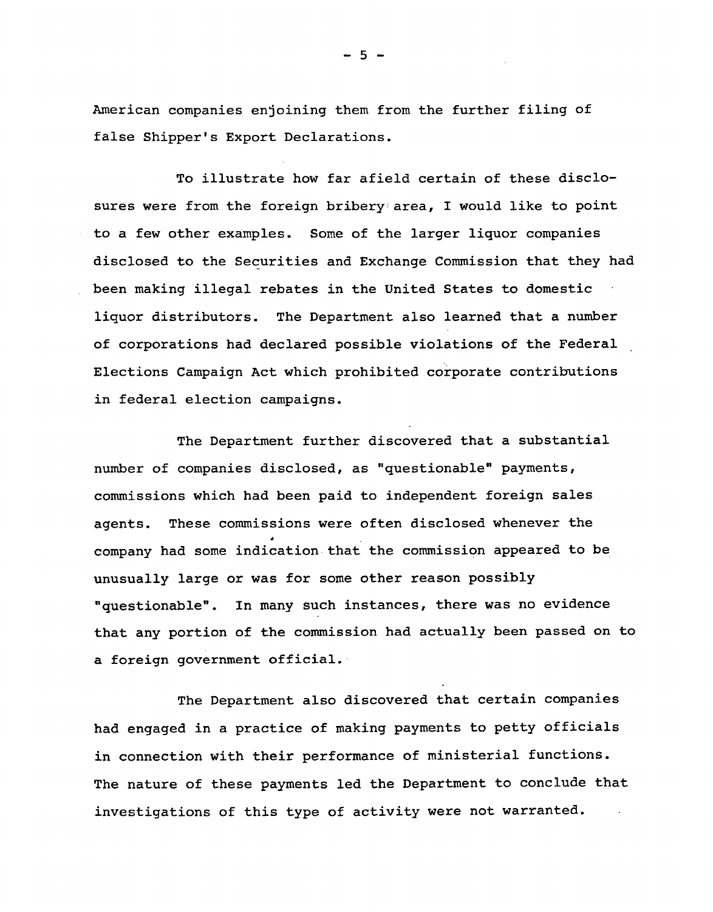American companies enjoining them from the further filing of false Shipper's Export Declarations.

To illustrate how far afield certain of these disclosures were from the foreign bribery area, I would like to point to a few other examples. Some of the larger liquor companies disclosed to the Securities and Exchange Commission that they had been making illegal rebates in the United States to domestic liquor distributors. The Department also learned that a number of corporations had declared possible violations of the Federal Elections Campaign Act which prohibited corporate contributions in federal election campaigns.

The Department further discovered that a substantial number of companies disclosed, as "questionable" payments, commissions which had been paid to independent foreign sales agents. These commissions were often disclosed whenever the company had some indication that the commission appeared to be unusually large or was for some other reason possibly "questionable". In many such instances, there was no evidence that any portion of the commission had actually been passed on to a foreign government official.

The Department also discovered that certain companies had engaged in a practice of making payments to petty officials in connection with their performance of ministerial functions. The nature of these payments led the Department to conclude that investigations of this type of activity were not warranted.

 $-5 -$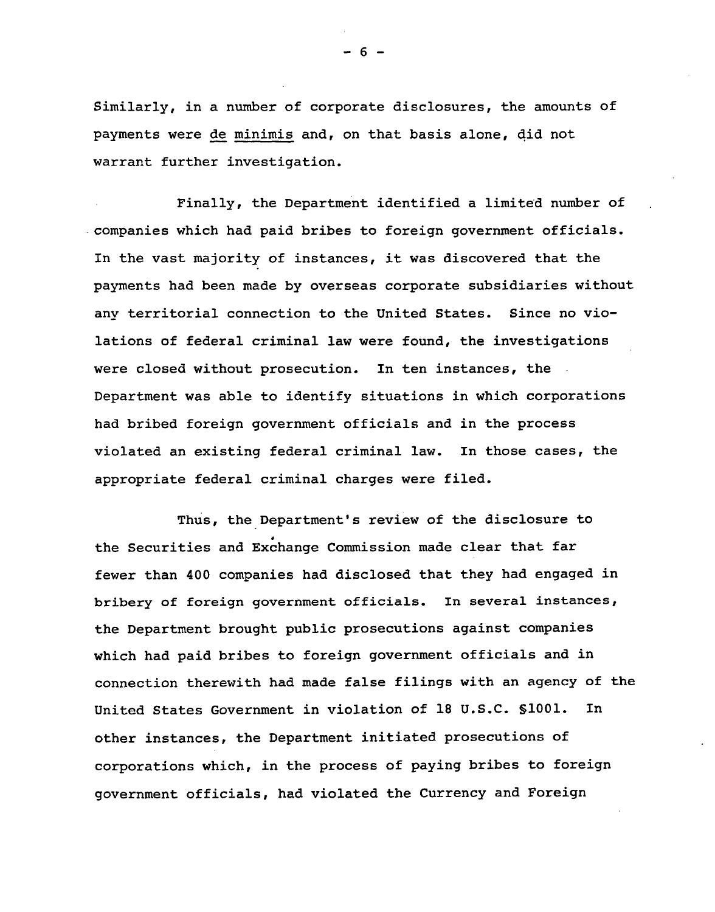Similarly, in a number of corporate disclosures, the amounts of payments were de minimis and, on that basis alone, qid not warrant further investigation.

Finally, the Department identified a limited number of . companies which had paid bribes to foreign government officials. In the vast majority of instances, it was discovered that the payments had been made by overseas corporate subsidiaries without any territorial connection to the United States. Since no violations of federal criminal law were found, the investigations were closed without prosecution. In ten instances, the Department was able to identify situations in which corporations had bribed foreign government officials and in the process violated an existing federal criminal law. In those cases, the appropriate federal criminal charges were filed.

Thus, the Department's review of the disclosure to • the Securities and Exchange Commission made clear that far fewer than 400 companies had disclosed that they had engaged in bribery of foreign government officials. In several instances, the Department brought public prosecutions against companies which had paid bribes to foreign government officials and in connection therewith had made false filings with an agency of the United States Government in violation of 18 U.S.C. SlOOl. In other instances, the Department initiated prosecutions of corporations which, in the process of paying bribes to foreign government officials, had violated the Currency and Foreign

- 6 -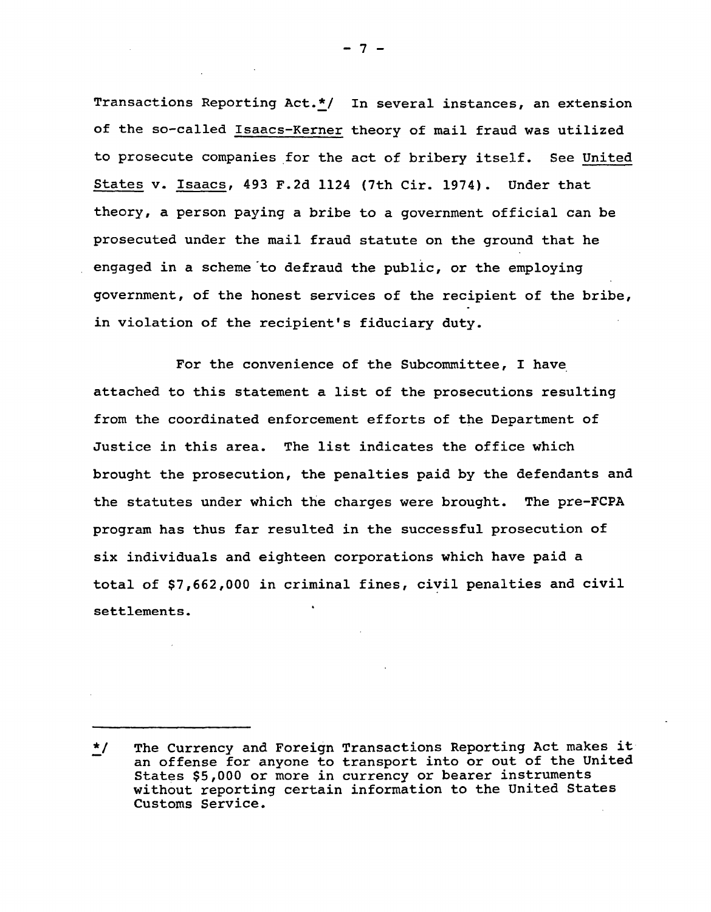Transactions Reporting Act.\*/ In several instances, an extension of the so-called Isaacs-Kerner theory of mail fraud was utilized to prosecute companies for the act of bribery itself. See United States v. Isaacs, 493 F.2d 1124 (7th Cir. 1974). Under that theory, a person paying a bribe to a government official can be prosecuted under the mail fraud statute on the ground that he engaged in a scheme "to defraud the public, or the employing government, of the honest services of the recipient of the bribe, in violation of the recipient's fiduciary duty.

For the convenience of the Subcommittee, I have attached to this statement a list of the prosecutions resulting from the coordinated enforcement efforts of the Department of Justice in this area. The list indicates the office which brought the prosecution, the penalties paid by the defendants and the statutes under which the charges were brought. The pre-FCPA program has thus far resulted in the successful prosecution of six individuals and eighteen corporations which have paid a total of \$7,662,000 in criminal fines, civil penalties and civil settlements.

- 7 -

<sup>~/</sup> The Currency and Foreign Transactions Reporting Act makes it an offense for anyone to transport into or out of the united States \$5,000 or more in currency or bearer instruments without reporting certain information to the United States Customs Service.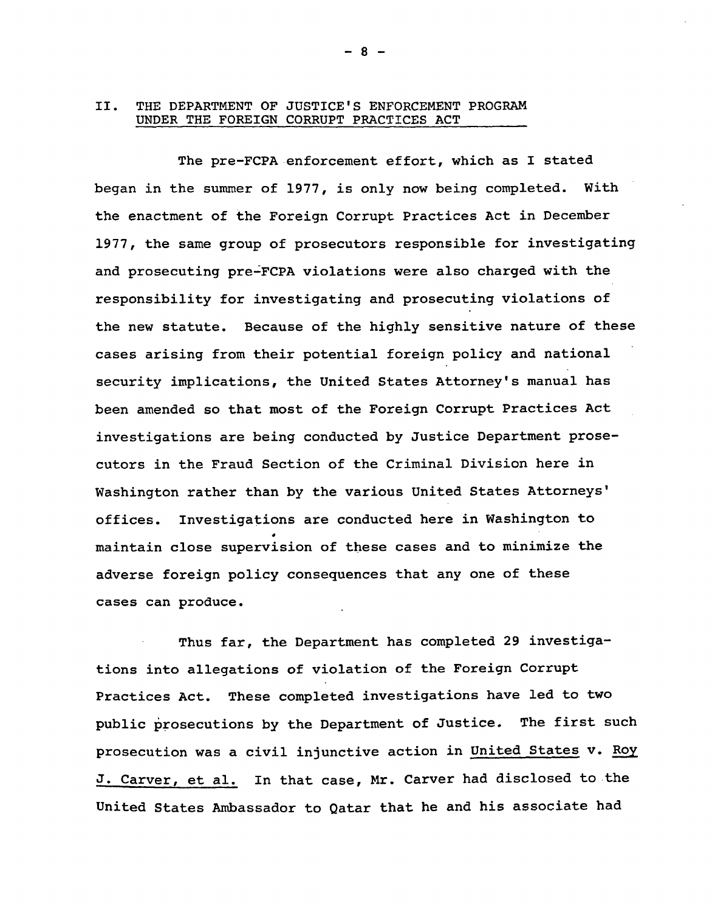## II. THE DEPARTMENT OF JUSTICE'S ENFORCEMENT PROGRAM UNDER THE FOREIGN CORRUPT PRACTICES ACT

The pre-FCPA enforcement effort, which as I stated began in the summer of 1977, is only now being completed. With the enactment of the Foreign Corrupt Practices Act in December 1977, the same group of prosecutors responsible for investigating and prosecuting pre~FCPA violations were also charged with the responsibility for investigating and prosecuting violations of the new statute. Because of the highly sensitive nature of these cases arising from their potential foreign policy and national security implications, the United States Attorney's manual has been amended so that most of the Foreign Corrupt Practices Act investigations are being conducted by Justice Department prosecutors in the Fraud Section of the Criminal Division here in Washington rather than by the various United States Attorneys' offices. Investigations are conducted here in Washington to maintain close supervision of these cases and to minimize the adverse foreign policy consequences that anyone of these cases can produce.

Thus far, the Department has completed 29 investigations into allegations of violation of the Foreign Corrupt Practices Act. These completed investigations have led to two public prosecutions by the Department of Justice. The first such prosecution was a civil injunctive action in United States v. Roy J. Carver, et al. In that case, Mr. Carver had disclosed to the United States Ambassador to Qatar that he and his associate had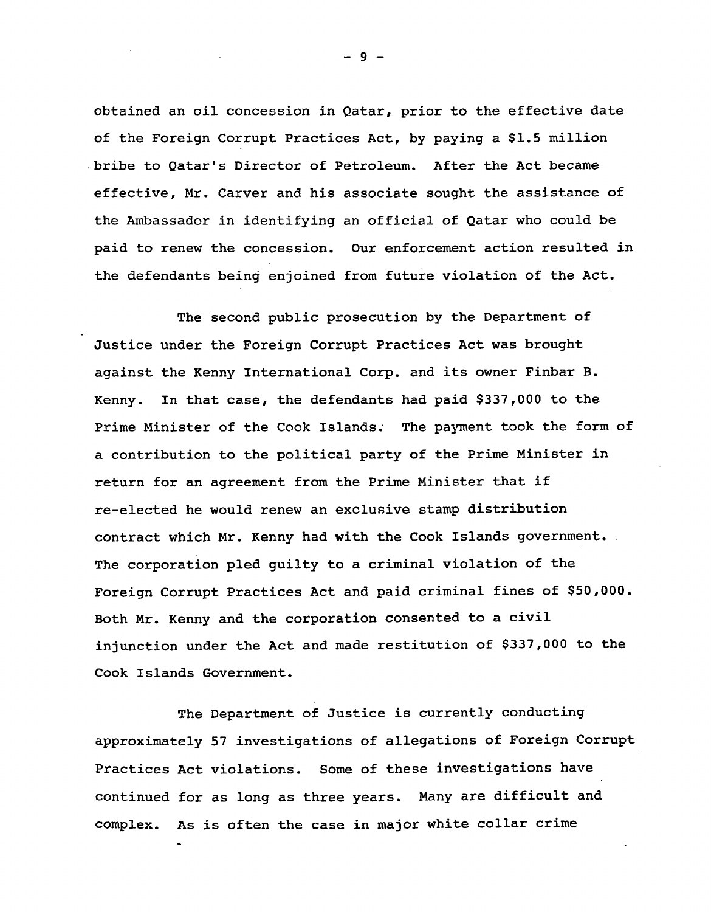obtained an oil concession in Qatar, prior to the effective date of the Foreign Corrupt Practices Act, by paying a \$1.5 million bribe to Qatar's Director of Petroleum. After the Act became effective, Mr. Carver and his associate sought the assistance of the Ambassador in identifying an official of Qatar who could be paid to renew the concession. Our enforcement action resulted in the defendants being enjoined from future violation of the Act.

The second public prosecution by the Department of Justice under the Foreign Corrupt Practices Act was brought against the Kenny International Corp. and its owner Finbar B. Kenny. In that case, the defendants had paid \$337,000 to the Prime Minister of the Cook Islands. The payment took the form of a contribution to the political party of the Prime Minister in return for an agreement from the Prime Minister that if re-elected he would renew an exclusive stamp distribution contract which Mr. Kenny had with the Cook Islands government. The corporation pled guilty to a criminal violation of the Foreign Corrupt Practices Act and paid criminal fines of \$50,000. Both Mr. Kenny and the corporation consented to a civil injunction under the Act and made restitution of \$337,000 to the Cook Islands Government.

The Department of Justice is currently conducting approximately 57 investigations of allegations of Foreign Corrupt Practices Act violations. Some of these investigations have continued for as long as three years. Many are difficult and complex. As is often the case in major white collar crime

- 9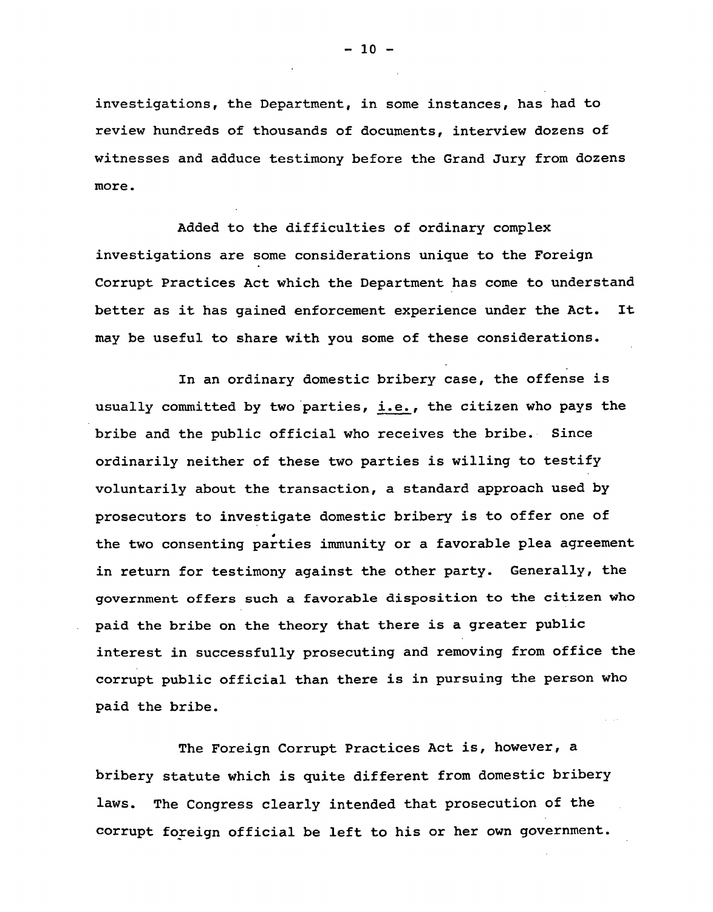investigations, the Department, in some instances, has had to review hundreds of thousands of documents, interview dozens of witnesses and adduce testimony before the Grand Jury from dozens more.

Added to the difficulties of ordinary complex investigations are some considerations unique to the Foreign corrupt Practices Act which the Department has come to understand better as it has gained enforcement experience under the Act. It may be useful to share with you some of these considerations.

In an ordinary domestic bribery case, the offense is usually committed by two parties, i.e., the citizen who pays the bribe and the public official who receives the bribe. Since ordinarily neither of these two parties is willing to testify voluntarily about the transaction, a standard approach used by prosecutors to investigate domestic bribery is to offer one of the two consenting parties immunity or a favorable plea agreement in return for testimony against the other party. Generally, the government offers such a favorable disposition to the citizen who paid the bribe on the theory that there is a greater public interest in successfully prosecuting and removing from office the corrupt public official than there is in pursuing the person who paid the bribe.

The Foreign Corrupt Practices Act is, however, a bribery statute which is quite different from domestic bribery laws. The Congress clearly intended that prosecution of the corrupt foreign official be left to his or her own government.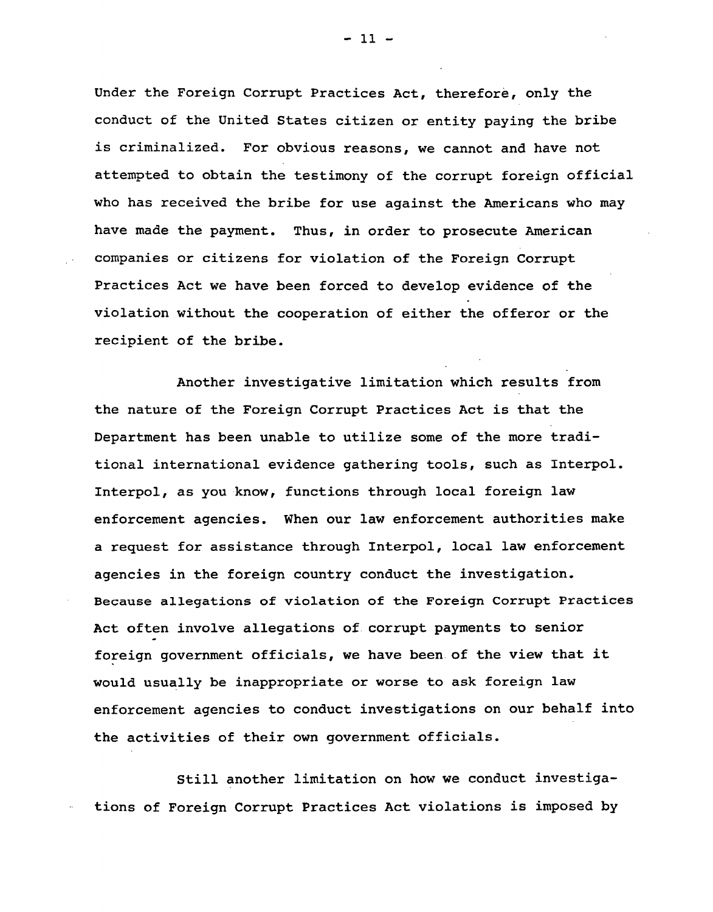Under the Foreign Corrupt Practices Act, therefore, only the conduct of the United States citizen or entity paying the bribe is criminalized. For obvious reasons, we cannot and have not attempted to obtain the testimony of the corrupt foreign official who has received the bribe for use against the Americans who may have made the payment. Thus, in order to prosecute American companies or citizens for violation of the Foreign Corrupt Practices Act we have been forced to develop evidence of the violation without the cooperation of either the offeror or the recipient of the bribe.

Another investigative limitation which results from the nature of the Foreign Corrupt Practices Act is that the Department has been unable to utilize some of the more traditional international evidence gathering tools, such as Interpol. Interpol, as you know, functions through local foreign law enforcement agencies. When our law enforcement authorities make a request for assistance through Interpol, local law enforcement agencies in the foreign country conduct the investigation. Because allegations of violation of the Foreign Corrupt Practices Act often involve allegations of corrupt payments to senior foreign government officials, we have been of the view that it would usually be inappropriate or worse to ask foreign law enforcement agencies to conduct investigations on our behalf into the activities of their own government officials.

Still another limitation on how we conduct investigations of Foreign Corrupt Practices Act violations is imposed by

 $-11 -$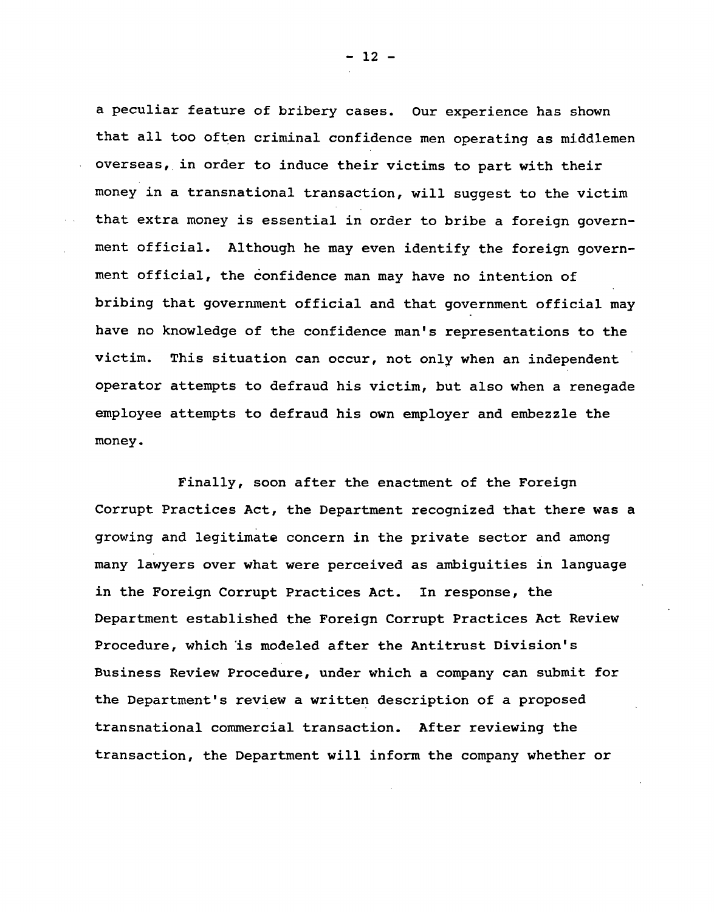a peculiar feature of bribery cases. Our experience has shown that all too often criminal confidence men operating as middlemen overseas, in order to induce their victims to part with their money in a transnational transaction, will suggest to the victim that extra money is essential in order to bribe a foreign government official. Although he may even identify the foreign government official, the confidence man may have no intention of bribing that government official and that government official may have no knowledge of the confidence man's representations to the victim. This situation can occur, not only when an independent operator attempts to defraud his victim, but also when a renegade employee attempts to defraud his own employer and embezzle the money.

Finally, soon after the enactment of the Foreign Corrupt Practices Act, the Department recognized that there was a growing and legitimate concern in the private sector and among many lawyers over what were perceived as ambiguities in language in the Foreign Corrupt Practices Act. In response, the Department established the Foreign Corrupt Practices Act Review Procedure, which 'is modeled after the Antitrust Division's Business Review Procedure, under which a company can submit for the Department's review a written description of a proposed transnational commercial transaction. After reviewing the transaction, the Department will inform the company whether or

- 12 -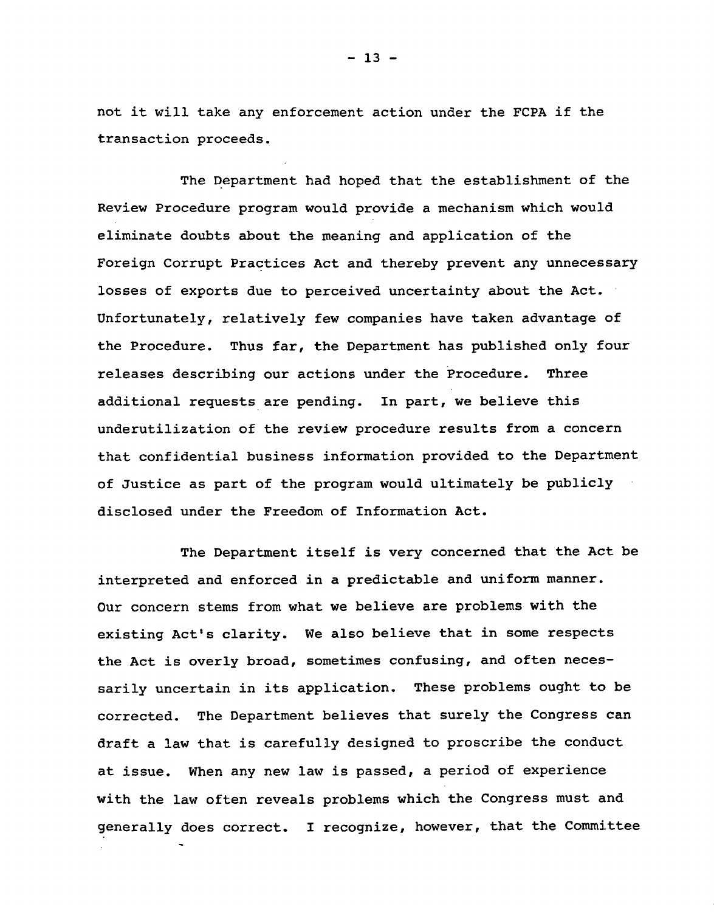not it will take any enforcement action under the FCPA if the transaction proceeds.

The Department had hoped that the establishment of the Review Procedure program would provide a mechanism which would eliminate doubts about the meaning and application of the Foreign Corrupt Practices Act and thereby prevent any unnecessary losses of exports due to perceived uncertainty about the Act. Unfortunately, relatively few companies have taken advantage of the Procedure. Thus far, the Department has published only four releases describing our actions under the Procedure. Three additional requests are pending. In part, we believe this underutilization of the review procedure results from a concern that confidential business information provided to the Department of Justice as part of the program would ultimately be publicly disclosed under the Freedom of Information Act.

The Department itself is very concerned that the Act be interpreted and enforced in a predictable and uniform manner. Our concern stems from what we believe are problems with the existing Act's clarity. We also believe that in some respects the Act is overly broad, sometimes confusing, and often necessarily uncertain in its application. These problems ought to be corrected. The Department believes that surely the Congress can draft a law that is carefully designed to proscribe the conduct at issue. When any new law is passed, a period of experience with the law often reveals problems which the Congress must and generally does correct. I recognize, however, that the Committee

 $-13 -$